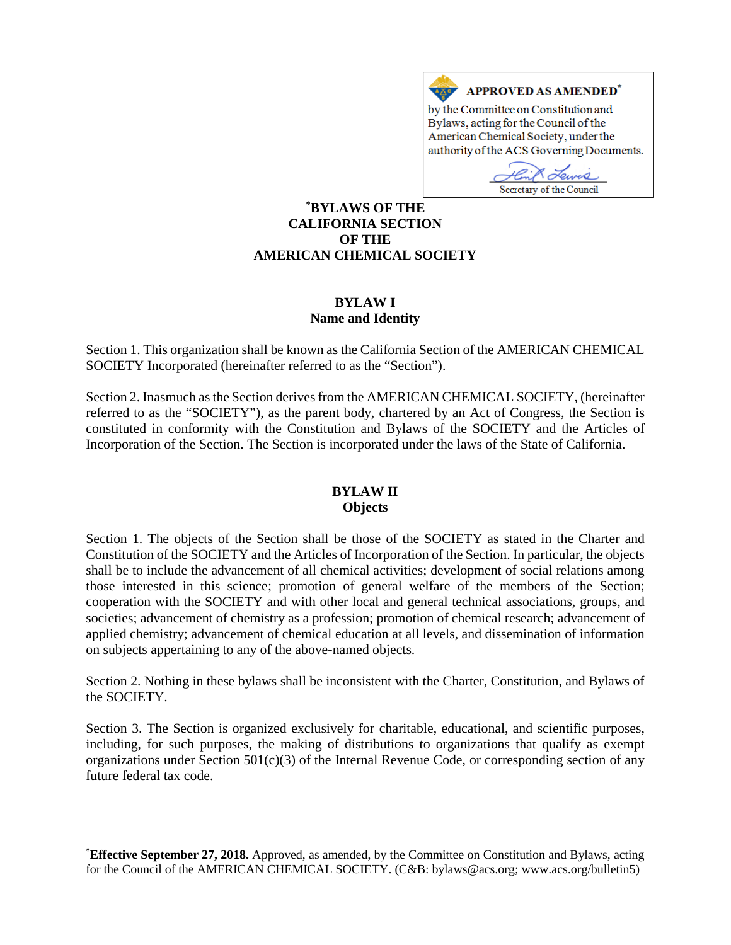

Secretary of the Council

### **[\\*](#page-0-0) BYLAWS OF THE CALIFORNIA SECTION OF THE AMERICAN CHEMICAL SOCIETY**

#### **BYLAW I Name and Identity**

Section 1. This organization shall be known as the California Section of the AMERICAN CHEMICAL SOCIETY Incorporated (hereinafter referred to as the "Section").

Section 2. Inasmuch as the Section derives from the AMERICAN CHEMICAL SOCIETY, (hereinafter referred to as the "SOCIETY"), as the parent body, chartered by an Act of Congress, the Section is constituted in conformity with the Constitution and Bylaws of the SOCIETY and the Articles of Incorporation of the Section. The Section is incorporated under the laws of the State of California.

#### **BYLAW II Objects**

Section 1. The objects of the Section shall be those of the SOCIETY as stated in the Charter and Constitution of the SOCIETY and the Articles of Incorporation of the Section. In particular, the objects shall be to include the advancement of all chemical activities; development of social relations among those interested in this science; promotion of general welfare of the members of the Section; cooperation with the SOCIETY and with other local and general technical associations, groups, and societies; advancement of chemistry as a profession; promotion of chemical research; advancement of applied chemistry; advancement of chemical education at all levels, and dissemination of information on subjects appertaining to any of the above-named objects.

Section 2. Nothing in these bylaws shall be inconsistent with the Charter, Constitution, and Bylaws of the SOCIETY.

Section 3. The Section is organized exclusively for charitable, educational, and scientific purposes, including, for such purposes, the making of distributions to organizations that qualify as exempt organizations under Section 501(c)(3) of the Internal Revenue Code, or corresponding section of any future federal tax code.

 $\overline{a}$ 

<span id="page-0-0"></span>**<sup>\*</sup> Effective September 27, 2018.** Approved, as amended, by the Committee on Constitution and Bylaws, acting for the Council of the AMERICAN CHEMICAL SOCIETY. (C&B: bylaws@acs.org; www.acs.org/bulletin5)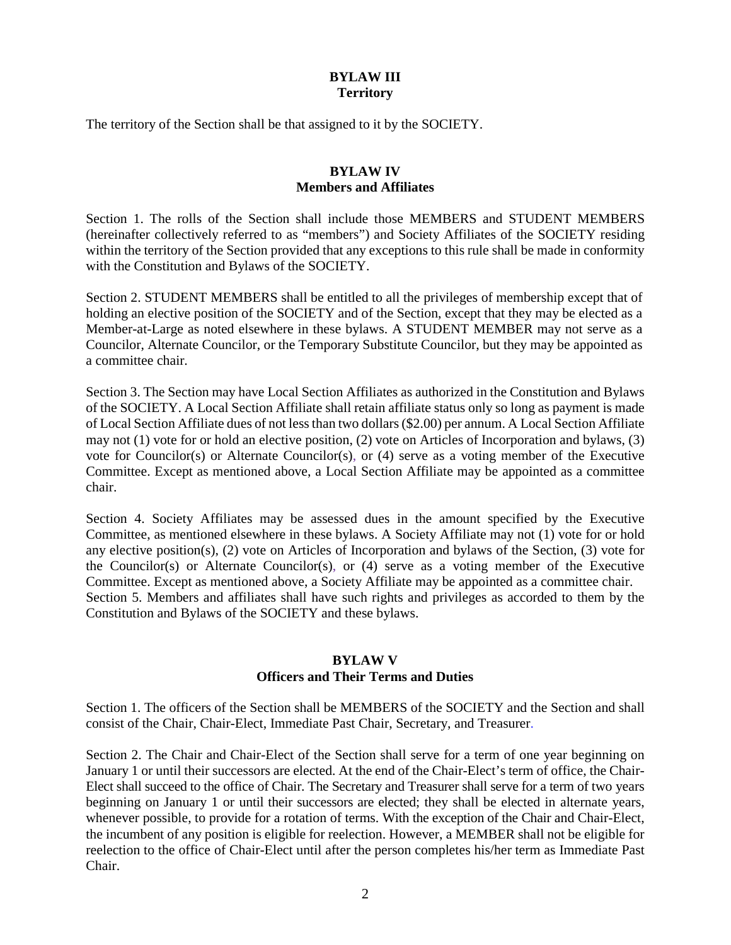## **BYLAW III Territory**

The territory of the Section shall be that assigned to it by the SOCIETY.

## **BYLAW IV Members and Affiliates**

Section 1. The rolls of the Section shall include those MEMBERS and STUDENT MEMBERS (hereinafter collectively referred to as "members") and Society Affiliates of the SOCIETY residing within the territory of the Section provided that any exceptions to this rule shall be made in conformity with the Constitution and Bylaws of the SOCIETY.

Section 2. STUDENT MEMBERS shall be entitled to all the privileges of membership except that of holding an elective position of the SOCIETY and of the Section, except that they may be elected as a Member-at-Large as noted elsewhere in these bylaws. A STUDENT MEMBER may not serve as a Councilor, Alternate Councilor, or the Temporary Substitute Councilor, but they may be appointed as a committee chair.

Section 3. The Section may have Local Section Affiliates as authorized in the Constitution and Bylaws of the SOCIETY. A Local Section Affiliate shall retain affiliate status only so long as payment is made of Local Section Affiliate dues of not less than two dollars (\$2.00) per annum. A Local Section Affiliate may not (1) vote for or hold an elective position, (2) vote on Articles of Incorporation and bylaws, (3) vote for Councilor(s) or Alternate Councilor(s), or (4) serve as a voting member of the Executive Committee. Except as mentioned above, a Local Section Affiliate may be appointed as a committee chair.

Section 4. Society Affiliates may be assessed dues in the amount specified by the Executive Committee, as mentioned elsewhere in these bylaws. A Society Affiliate may not (1) vote for or hold any elective position(s), (2) vote on Articles of Incorporation and bylaws of the Section, (3) vote for the Councilor(s) or Alternate Councilor(s), or (4) serve as a voting member of the Executive Committee. Except as mentioned above, a Society Affiliate may be appointed as a committee chair. Section 5. Members and affiliates shall have such rights and privileges as accorded to them by the Constitution and Bylaws of the SOCIETY and these bylaws.

#### **BYLAW V Officers and Their Terms and Duties**

Section 1. The officers of the Section shall be MEMBERS of the SOCIETY and the Section and shall consist of the Chair, Chair-Elect, Immediate Past Chair, Secretary, and Treasurer.

Section 2. The Chair and Chair-Elect of the Section shall serve for a term of one year beginning on January 1 or until their successors are elected. At the end of the Chair-Elect's term of office, the Chair-Elect shall succeed to the office of Chair. The Secretary and Treasurer shall serve for a term of two years beginning on January 1 or until their successors are elected; they shall be elected in alternate years, whenever possible, to provide for a rotation of terms. With the exception of the Chair and Chair-Elect, the incumbent of any position is eligible for reelection. However, a MEMBER shall not be eligible for reelection to the office of Chair-Elect until after the person completes his/her term as Immediate Past Chair.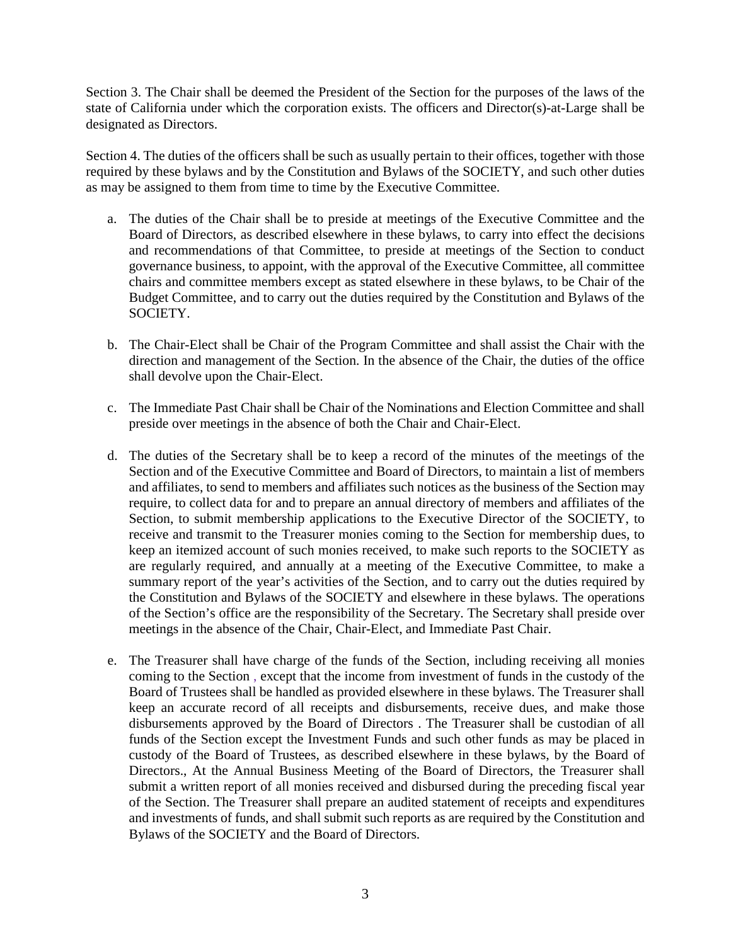Section 3. The Chair shall be deemed the President of the Section for the purposes of the laws of the state of California under which the corporation exists. The officers and Director(s)-at-Large shall be designated as Directors.

Section 4. The duties of the officers shall be such as usually pertain to their offices, together with those required by these bylaws and by the Constitution and Bylaws of the SOCIETY, and such other duties as may be assigned to them from time to time by the Executive Committee.

- a. The duties of the Chair shall be to preside at meetings of the Executive Committee and the Board of Directors, as described elsewhere in these bylaws, to carry into effect the decisions and recommendations of that Committee, to preside at meetings of the Section to conduct governance business, to appoint, with the approval of the Executive Committee, all committee chairs and committee members except as stated elsewhere in these bylaws, to be Chair of the Budget Committee, and to carry out the duties required by the Constitution and Bylaws of the SOCIETY.
- b. The Chair-Elect shall be Chair of the Program Committee and shall assist the Chair with the direction and management of the Section. In the absence of the Chair, the duties of the office shall devolve upon the Chair-Elect.
- c. The Immediate Past Chair shall be Chair of the Nominations and Election Committee and shall preside over meetings in the absence of both the Chair and Chair-Elect.
- d. The duties of the Secretary shall be to keep a record of the minutes of the meetings of the Section and of the Executive Committee and Board of Directors, to maintain a list of members and affiliates, to send to members and affiliates such notices as the business of the Section may require, to collect data for and to prepare an annual directory of members and affiliates of the Section, to submit membership applications to the Executive Director of the SOCIETY, to receive and transmit to the Treasurer monies coming to the Section for membership dues, to keep an itemized account of such monies received, to make such reports to the SOCIETY as are regularly required, and annually at a meeting of the Executive Committee, to make a summary report of the year's activities of the Section, and to carry out the duties required by the Constitution and Bylaws of the SOCIETY and elsewhere in these bylaws. The operations of the Section's office are the responsibility of the Secretary. The Secretary shall preside over meetings in the absence of the Chair, Chair-Elect, and Immediate Past Chair.
- e. The Treasurer shall have charge of the funds of the Section, including receiving all monies coming to the Section , except that the income from investment of funds in the custody of the Board of Trustees shall be handled as provided elsewhere in these bylaws. The Treasurer shall keep an accurate record of all receipts and disbursements, receive dues, and make those disbursements approved by the Board of Directors . The Treasurer shall be custodian of all funds of the Section except the Investment Funds and such other funds as may be placed in custody of the Board of Trustees, as described elsewhere in these bylaws, by the Board of Directors., At the Annual Business Meeting of the Board of Directors, the Treasurer shall submit a written report of all monies received and disbursed during the preceding fiscal year of the Section. The Treasurer shall prepare an audited statement of receipts and expenditures and investments of funds, and shall submit such reports as are required by the Constitution and Bylaws of the SOCIETY and the Board of Directors.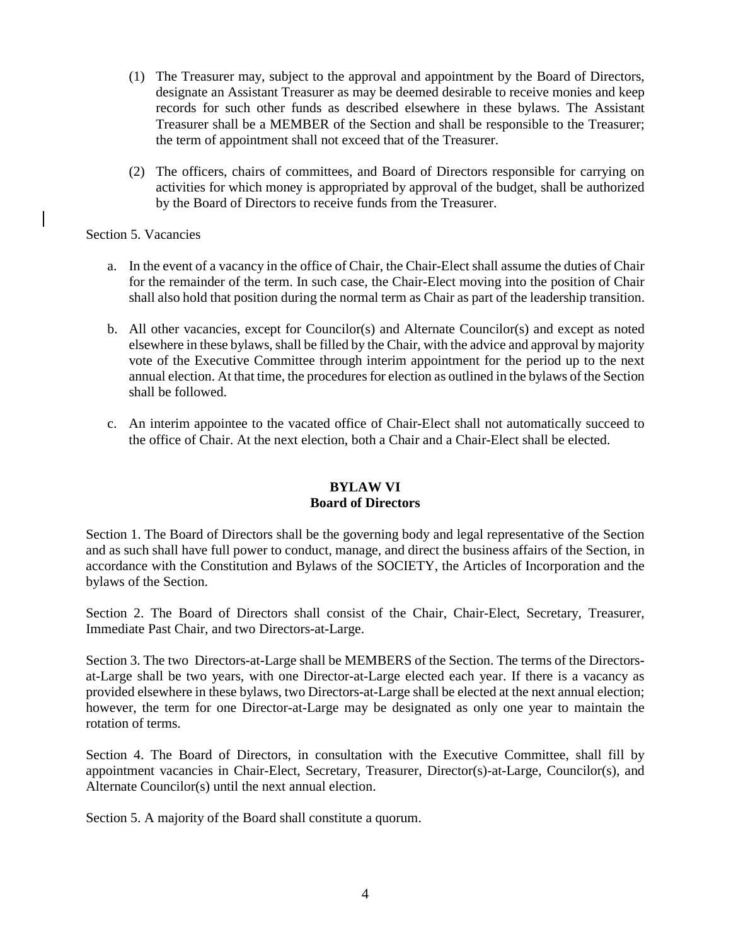- (1) The Treasurer may, subject to the approval and appointment by the Board of Directors, designate an Assistant Treasurer as may be deemed desirable to receive monies and keep records for such other funds as described elsewhere in these bylaws. The Assistant Treasurer shall be a MEMBER of the Section and shall be responsible to the Treasurer; the term of appointment shall not exceed that of the Treasurer.
- (2) The officers, chairs of committees, and Board of Directors responsible for carrying on activities for which money is appropriated by approval of the budget, shall be authorized by the Board of Directors to receive funds from the Treasurer.

Section 5. Vacancies

- a. In the event of a vacancy in the office of Chair, the Chair-Elect shall assume the duties of Chair for the remainder of the term. In such case, the Chair-Elect moving into the position of Chair shall also hold that position during the normal term as Chair as part of the leadership transition.
- b. All other vacancies, except for Councilor(s) and Alternate Councilor(s) and except as noted elsewhere in these bylaws, shall be filled by the Chair, with the advice and approval by majority vote of the Executive Committee through interim appointment for the period up to the next annual election. At that time, the procedures for election as outlined in the bylaws of the Section shall be followed.
- c. An interim appointee to the vacated office of Chair-Elect shall not automatically succeed to the office of Chair. At the next election, both a Chair and a Chair-Elect shall be elected.

# **BYLAW VI Board of Directors**

Section 1. The Board of Directors shall be the governing body and legal representative of the Section and as such shall have full power to conduct, manage, and direct the business affairs of the Section, in accordance with the Constitution and Bylaws of the SOCIETY, the Articles of Incorporation and the bylaws of the Section.

Section 2. The Board of Directors shall consist of the Chair, Chair-Elect, Secretary, Treasurer, Immediate Past Chair, and two Directors-at-Large.

Section 3. The two Directors-at-Large shall be MEMBERS of the Section. The terms of the Directorsat-Large shall be two years, with one Director-at-Large elected each year. If there is a vacancy as provided elsewhere in these bylaws, two Directors-at-Large shall be elected at the next annual election; however, the term for one Director-at-Large may be designated as only one year to maintain the rotation of terms.

Section 4. The Board of Directors, in consultation with the Executive Committee, shall fill by appointment vacancies in Chair-Elect, Secretary, Treasurer, Director(s)-at-Large, Councilor(s), and Alternate Councilor(s) until the next annual election.

Section 5. A majority of the Board shall constitute a quorum.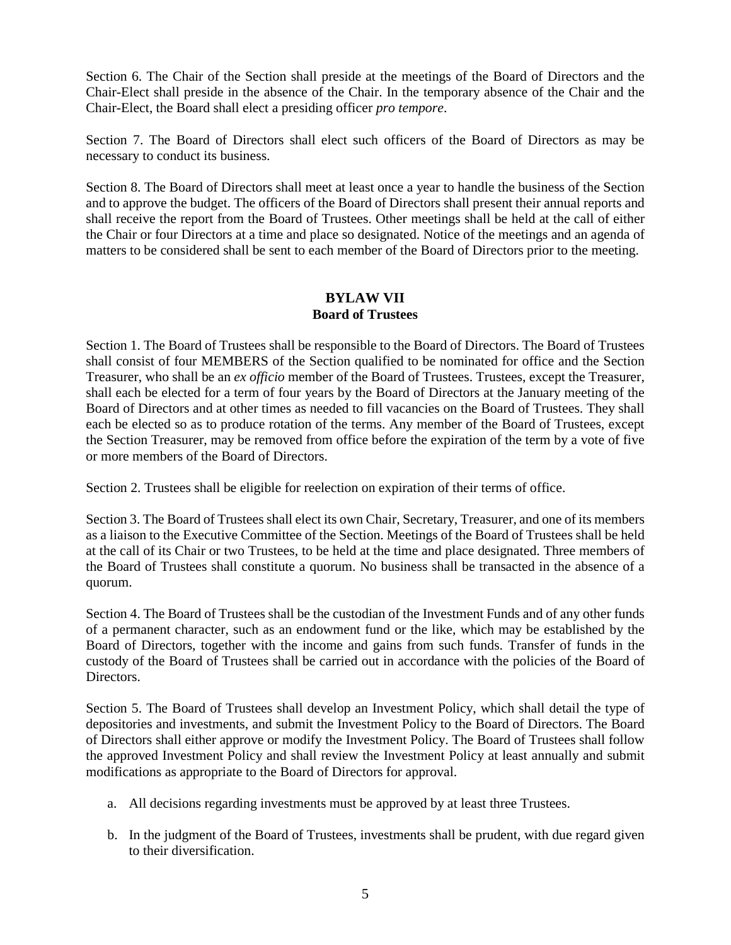Section 6. The Chair of the Section shall preside at the meetings of the Board of Directors and the Chair-Elect shall preside in the absence of the Chair. In the temporary absence of the Chair and the Chair-Elect, the Board shall elect a presiding officer *pro tempore*.

Section 7. The Board of Directors shall elect such officers of the Board of Directors as may be necessary to conduct its business.

Section 8. The Board of Directors shall meet at least once a year to handle the business of the Section and to approve the budget. The officers of the Board of Directors shall present their annual reports and shall receive the report from the Board of Trustees. Other meetings shall be held at the call of either the Chair or four Directors at a time and place so designated. Notice of the meetings and an agenda of matters to be considered shall be sent to each member of the Board of Directors prior to the meeting.

## **BYLAW VII Board of Trustees**

Section 1. The Board of Trustees shall be responsible to the Board of Directors. The Board of Trustees shall consist of four MEMBERS of the Section qualified to be nominated for office and the Section Treasurer, who shall be an *ex officio* member of the Board of Trustees. Trustees, except the Treasurer, shall each be elected for a term of four years by the Board of Directors at the January meeting of the Board of Directors and at other times as needed to fill vacancies on the Board of Trustees. They shall each be elected so as to produce rotation of the terms. Any member of the Board of Trustees, except the Section Treasurer, may be removed from office before the expiration of the term by a vote of five or more members of the Board of Directors.

Section 2. Trustees shall be eligible for reelection on expiration of their terms of office.

Section 3. The Board of Trustees shall elect its own Chair, Secretary, Treasurer, and one of its members as a liaison to the Executive Committee of the Section. Meetings of the Board of Trustees shall be held at the call of its Chair or two Trustees, to be held at the time and place designated. Three members of the Board of Trustees shall constitute a quorum. No business shall be transacted in the absence of a quorum.

Section 4. The Board of Trustees shall be the custodian of the Investment Funds and of any other funds of a permanent character, such as an endowment fund or the like, which may be established by the Board of Directors, together with the income and gains from such funds. Transfer of funds in the custody of the Board of Trustees shall be carried out in accordance with the policies of the Board of Directors.

Section 5. The Board of Trustees shall develop an Investment Policy, which shall detail the type of depositories and investments, and submit the Investment Policy to the Board of Directors. The Board of Directors shall either approve or modify the Investment Policy. The Board of Trustees shall follow the approved Investment Policy and shall review the Investment Policy at least annually and submit modifications as appropriate to the Board of Directors for approval.

- a. All decisions regarding investments must be approved by at least three Trustees.
- b. In the judgment of the Board of Trustees, investments shall be prudent, with due regard given to their diversification.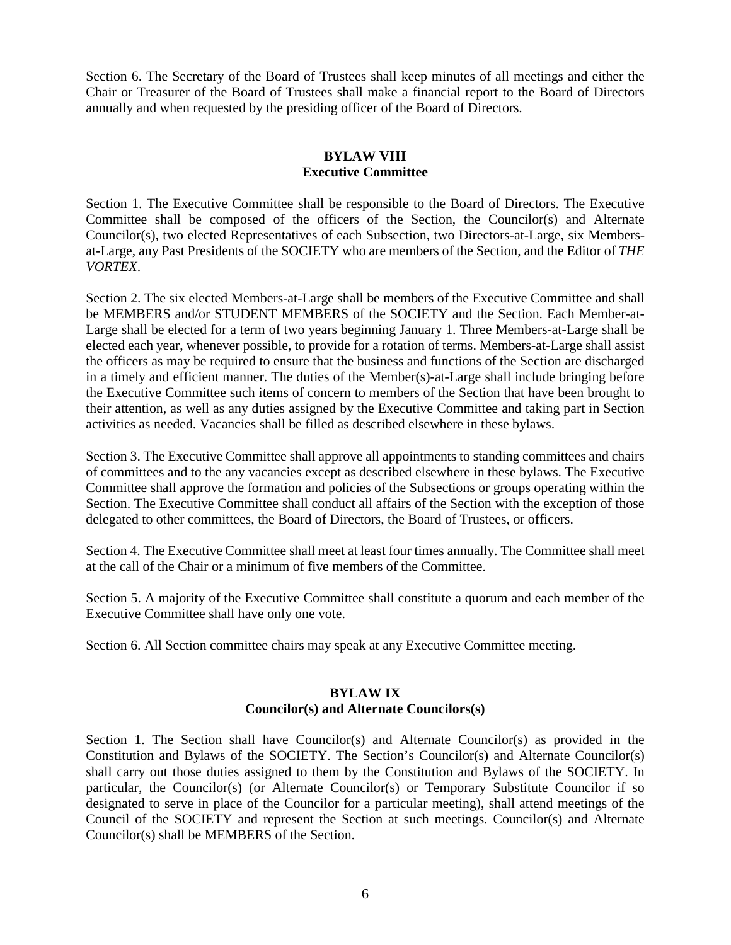Section 6. The Secretary of the Board of Trustees shall keep minutes of all meetings and either the Chair or Treasurer of the Board of Trustees shall make a financial report to the Board of Directors annually and when requested by the presiding officer of the Board of Directors.

## **BYLAW VIII Executive Committee**

Section 1. The Executive Committee shall be responsible to the Board of Directors. The Executive Committee shall be composed of the officers of the Section, the Councilor(s) and Alternate Councilor(s), two elected Representatives of each Subsection, two Directors-at-Large, six Membersat-Large, any Past Presidents of the SOCIETY who are members of the Section, and the Editor of *THE VORTEX*.

Section 2. The six elected Members-at-Large shall be members of the Executive Committee and shall be MEMBERS and/or STUDENT MEMBERS of the SOCIETY and the Section. Each Member-at-Large shall be elected for a term of two years beginning January 1. Three Members-at-Large shall be elected each year, whenever possible, to provide for a rotation of terms. Members-at-Large shall assist the officers as may be required to ensure that the business and functions of the Section are discharged in a timely and efficient manner. The duties of the Member(s)-at-Large shall include bringing before the Executive Committee such items of concern to members of the Section that have been brought to their attention, as well as any duties assigned by the Executive Committee and taking part in Section activities as needed. Vacancies shall be filled as described elsewhere in these bylaws.

Section 3. The Executive Committee shall approve all appointments to standing committees and chairs of committees and to the any vacancies except as described elsewhere in these bylaws. The Executive Committee shall approve the formation and policies of the Subsections or groups operating within the Section. The Executive Committee shall conduct all affairs of the Section with the exception of those delegated to other committees, the Board of Directors, the Board of Trustees, or officers.

Section 4. The Executive Committee shall meet at least four times annually. The Committee shall meet at the call of the Chair or a minimum of five members of the Committee.

Section 5. A majority of the Executive Committee shall constitute a quorum and each member of the Executive Committee shall have only one vote.

Section 6. All Section committee chairs may speak at any Executive Committee meeting.

## **BYLAW IX Councilor(s) and Alternate Councilors(s)**

Section 1. The Section shall have Councilor(s) and Alternate Councilor(s) as provided in the Constitution and Bylaws of the SOCIETY. The Section's Councilor(s) and Alternate Councilor(s) shall carry out those duties assigned to them by the Constitution and Bylaws of the SOCIETY. In particular, the Councilor(s) (or Alternate Councilor(s) or Temporary Substitute Councilor if so designated to serve in place of the Councilor for a particular meeting), shall attend meetings of the Council of the SOCIETY and represent the Section at such meetings. Councilor(s) and Alternate Councilor(s) shall be MEMBERS of the Section.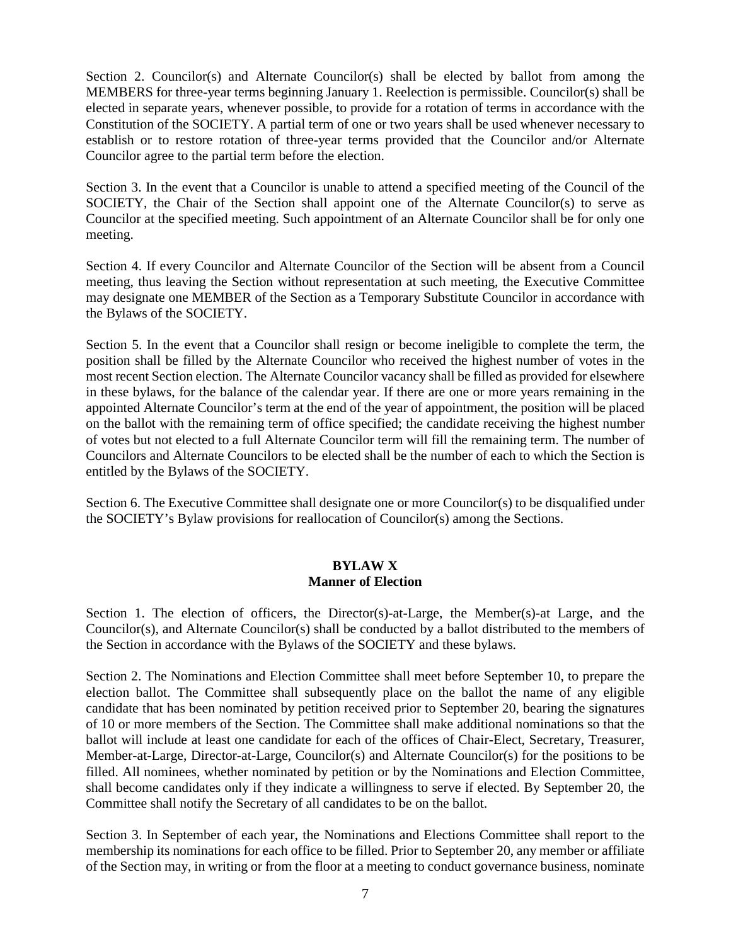Section 2. Councilor(s) and Alternate Councilor(s) shall be elected by ballot from among the MEMBERS for three-year terms beginning January 1. Reelection is permissible. Councilor(s) shall be elected in separate years, whenever possible, to provide for a rotation of terms in accordance with the Constitution of the SOCIETY. A partial term of one or two years shall be used whenever necessary to establish or to restore rotation of three-year terms provided that the Councilor and/or Alternate Councilor agree to the partial term before the election.

Section 3. In the event that a Councilor is unable to attend a specified meeting of the Council of the SOCIETY, the Chair of the Section shall appoint one of the Alternate Councilor(s) to serve as Councilor at the specified meeting. Such appointment of an Alternate Councilor shall be for only one meeting.

Section 4. If every Councilor and Alternate Councilor of the Section will be absent from a Council meeting, thus leaving the Section without representation at such meeting, the Executive Committee may designate one MEMBER of the Section as a Temporary Substitute Councilor in accordance with the Bylaws of the SOCIETY.

Section 5. In the event that a Councilor shall resign or become ineligible to complete the term, the position shall be filled by the Alternate Councilor who received the highest number of votes in the most recent Section election. The Alternate Councilor vacancy shall be filled as provided for elsewhere in these bylaws, for the balance of the calendar year. If there are one or more years remaining in the appointed Alternate Councilor's term at the end of the year of appointment, the position will be placed on the ballot with the remaining term of office specified; the candidate receiving the highest number of votes but not elected to a full Alternate Councilor term will fill the remaining term. The number of Councilors and Alternate Councilors to be elected shall be the number of each to which the Section is entitled by the Bylaws of the SOCIETY.

Section 6. The Executive Committee shall designate one or more Councilor(s) to be disqualified under the SOCIETY's Bylaw provisions for reallocation of Councilor(s) among the Sections.

#### **BYLAW X Manner of Election**

Section 1. The election of officers, the Director(s)-at-Large, the Member(s)-at Large, and the Councilor(s), and Alternate Councilor(s) shall be conducted by a ballot distributed to the members of the Section in accordance with the Bylaws of the SOCIETY and these bylaws.

Section 2. The Nominations and Election Committee shall meet before September 10, to prepare the election ballot. The Committee shall subsequently place on the ballot the name of any eligible candidate that has been nominated by petition received prior to September 20, bearing the signatures of 10 or more members of the Section. The Committee shall make additional nominations so that the ballot will include at least one candidate for each of the offices of Chair-Elect, Secretary, Treasurer, Member-at-Large, Director-at-Large, Councilor(s) and Alternate Councilor(s) for the positions to be filled. All nominees, whether nominated by petition or by the Nominations and Election Committee, shall become candidates only if they indicate a willingness to serve if elected. By September 20, the Committee shall notify the Secretary of all candidates to be on the ballot.

Section 3. In September of each year, the Nominations and Elections Committee shall report to the membership its nominations for each office to be filled. Prior to September 20, any member or affiliate of the Section may, in writing or from the floor at a meeting to conduct governance business, nominate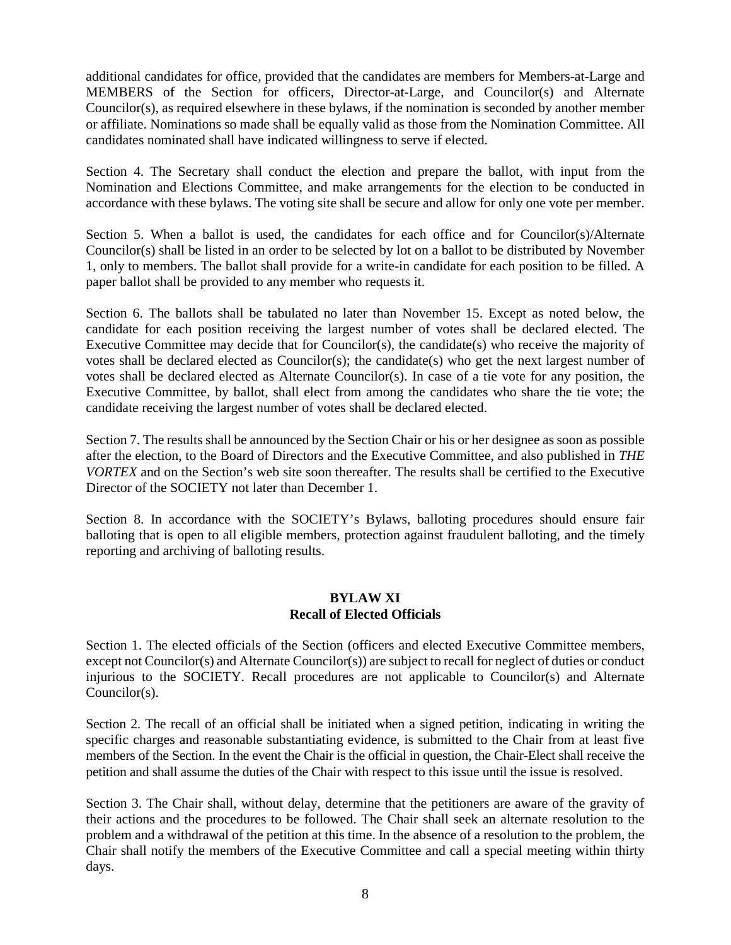additional candidates for office, provided that the candidates are members for Members-at-Large and MEMBERS of the Section for officers, Director-at-Large, and Councilor(s) and Alternate Councilor(s), as required elsewhere in these bylaws, if the nomination is seconded by another member or affiliate. Nominations so made shall be equally valid as those from the Nomination Committee. All candidates nominated shall have indicated willingness to serve if elected.

Section 4. The Secretary shall conduct the election and prepare the ballot, with input from the Nomination and Elections Committee, and make arrangements for the election to be conducted in accordance with these bylaws. The voting site shall be secure and allow for only one vote per member.

Section 5. When a ballot is used, the candidates for each office and for Councilor(s)/Alternate Councilor(s) shall be listed in an order to be selected by lot on a ballot to be distributed by November 1, only to members. The ballot shall provide for a write-in candidate for each position to be filled. A paper ballot shall be provided to any member who requests it.

Section 6. The ballots shall be tabulated no later than November 15. Except as noted below, the candidate for each position receiving the largest number of votes shall be declared elected. The Executive Committee may decide that for Councilor(s), the candidate(s) who receive the majority of votes shall be declared elected as Councilor(s); the candidate(s) who get the next largest number of votes shall be declared elected as Alternate Councilor(s). In case of a tie vote for any position, the Executive Committee, by ballot, shall elect from among the candidates who share the tie vote; the candidate receiving the largest number of votes shall be declared elected.

Section 7. The results shall be announced by the Section Chair or his or her designee as soon as possible after the election, to the Board of Directors and the Executive Committee, and also published in *THE VORTEX* and on the Section's web site soon thereafter. The results shall be certified to the Executive Director of the SOCIETY not later than December 1.

Section 8. In accordance with the SOCIETY's Bylaws, balloting procedures should ensure fair balloting that is open to all eligible members, protection against fraudulent balloting, and the timely reporting and archiving of balloting results.

#### **BYLAW XI Recall of Elected Officials**

Section 1. The elected officials of the Section (officers and elected Executive Committee members, except not Councilor(s) and Alternate Councilor(s)) are subject to recall for neglect of duties or conduct injurious to the SOCIETY. Recall procedures are not applicable to Councilor(s) and Alternate Councilor(s).

Section 2. The recall of an official shall be initiated when a signed petition, indicating in writing the specific charges and reasonable substantiating evidence, is submitted to the Chair from at least five members of the Section. In the event the Chair is the official in question, the Chair-Elect shall receive the petition and shall assume the duties of the Chair with respect to this issue until the issue is resolved.

Section 3. The Chair shall, without delay, determine that the petitioners are aware of the gravity of their actions and the procedures to be followed. The Chair shall seek an alternate resolution to the problem and a withdrawal of the petition at this time. In the absence of a resolution to the problem, the Chair shall notify the members of the Executive Committee and call a special meeting within thirty days.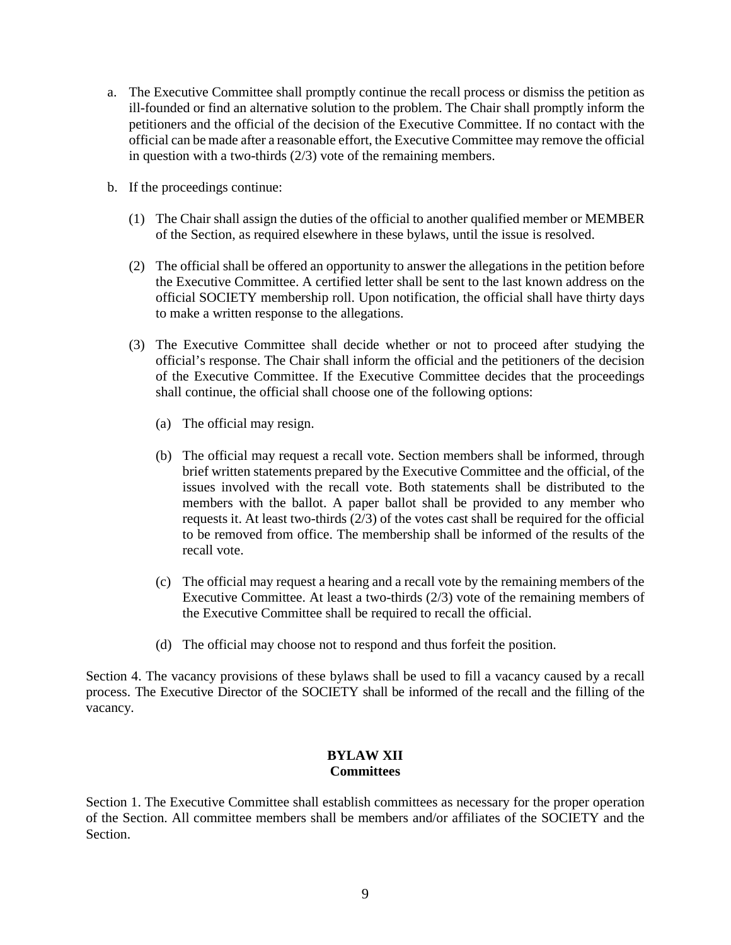- a. The Executive Committee shall promptly continue the recall process or dismiss the petition as ill-founded or find an alternative solution to the problem. The Chair shall promptly inform the petitioners and the official of the decision of the Executive Committee. If no contact with the official can be made after a reasonable effort, the Executive Committee may remove the official in question with a two-thirds (2/3) vote of the remaining members.
- b. If the proceedings continue:
	- (1) The Chair shall assign the duties of the official to another qualified member or MEMBER of the Section, as required elsewhere in these bylaws, until the issue is resolved.
	- (2) The official shall be offered an opportunity to answer the allegations in the petition before the Executive Committee. A certified letter shall be sent to the last known address on the official SOCIETY membership roll. Upon notification, the official shall have thirty days to make a written response to the allegations.
	- (3) The Executive Committee shall decide whether or not to proceed after studying the official's response. The Chair shall inform the official and the petitioners of the decision of the Executive Committee. If the Executive Committee decides that the proceedings shall continue, the official shall choose one of the following options:
		- (a) The official may resign.
		- (b) The official may request a recall vote. Section members shall be informed, through brief written statements prepared by the Executive Committee and the official, of the issues involved with the recall vote. Both statements shall be distributed to the members with the ballot. A paper ballot shall be provided to any member who requests it. At least two-thirds (2/3) of the votes cast shall be required for the official to be removed from office. The membership shall be informed of the results of the recall vote.
		- (c) The official may request a hearing and a recall vote by the remaining members of the Executive Committee. At least a two-thirds (2/3) vote of the remaining members of the Executive Committee shall be required to recall the official.
		- (d) The official may choose not to respond and thus forfeit the position.

Section 4. The vacancy provisions of these bylaws shall be used to fill a vacancy caused by a recall process. The Executive Director of the SOCIETY shall be informed of the recall and the filling of the vacancy.

## **BYLAW XII Committees**

Section 1. The Executive Committee shall establish committees as necessary for the proper operation of the Section. All committee members shall be members and/or affiliates of the SOCIETY and the Section.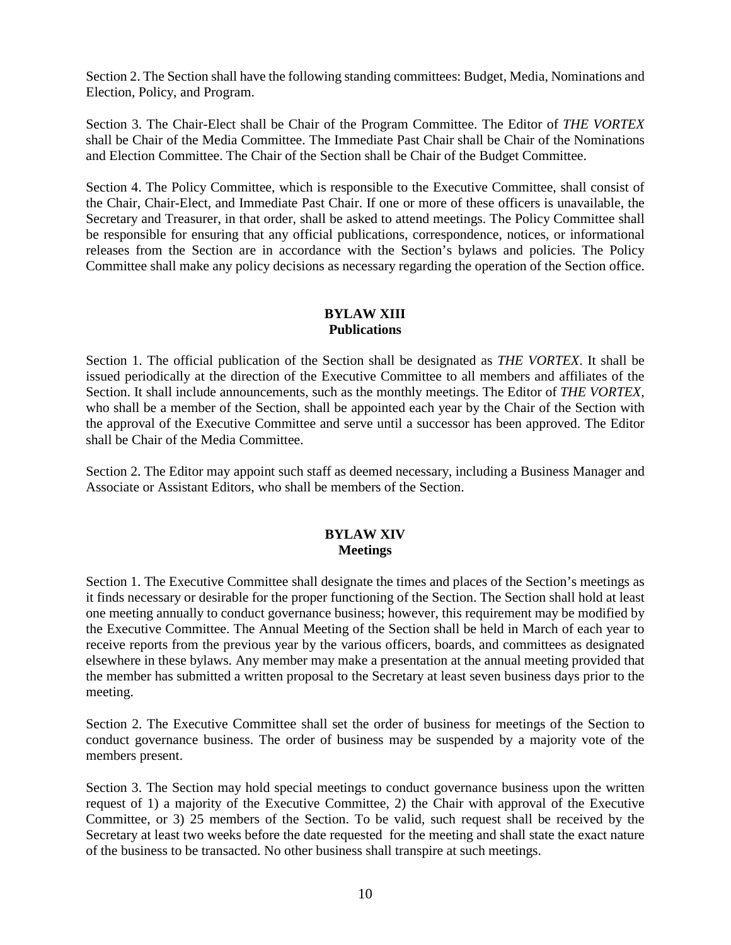Section 2. The Section shall have the following standing committees: Budget, Media, Nominations and Election, Policy, and Program.

Section 3. The Chair-Elect shall be Chair of the Program Committee. The Editor of *THE VORTEX* shall be Chair of the Media Committee. The Immediate Past Chair shall be Chair of the Nominations and Election Committee. The Chair of the Section shall be Chair of the Budget Committee.

Section 4. The Policy Committee, which is responsible to the Executive Committee, shall consist of the Chair, Chair-Elect, and Immediate Past Chair. If one or more of these officers is unavailable, the Secretary and Treasurer, in that order, shall be asked to attend meetings. The Policy Committee shall be responsible for ensuring that any official publications, correspondence, notices, or informational releases from the Section are in accordance with the Section's bylaws and policies. The Policy Committee shall make any policy decisions as necessary regarding the operation of the Section office.

#### **BYLAW XIII Publications**

Section 1. The official publication of the Section shall be designated as *THE VORTEX*. It shall be issued periodically at the direction of the Executive Committee to all members and affiliates of the Section. It shall include announcements, such as the monthly meetings. The Editor of *THE VORTEX*, who shall be a member of the Section, shall be appointed each year by the Chair of the Section with the approval of the Executive Committee and serve until a successor has been approved. The Editor shall be Chair of the Media Committee.

Section 2. The Editor may appoint such staff as deemed necessary, including a Business Manager and Associate or Assistant Editors, who shall be members of the Section.

## **BYLAW XIV Meetings**

Section 1. The Executive Committee shall designate the times and places of the Section's meetings as it finds necessary or desirable for the proper functioning of the Section. The Section shall hold at least one meeting annually to conduct governance business; however, this requirement may be modified by the Executive Committee. The Annual Meeting of the Section shall be held in March of each year to receive reports from the previous year by the various officers, boards, and committees as designated elsewhere in these bylaws. Any member may make a presentation at the annual meeting provided that the member has submitted a written proposal to the Secretary at least seven business days prior to the meeting.

Section 2. The Executive Committee shall set the order of business for meetings of the Section to conduct governance business. The order of business may be suspended by a majority vote of the members present.

Section 3. The Section may hold special meetings to conduct governance business upon the written request of 1) a majority of the Executive Committee, 2) the Chair with approval of the Executive Committee, or 3) 25 members of the Section. To be valid, such request shall be received by the Secretary at least two weeks before the date requested for the meeting and shall state the exact nature of the business to be transacted. No other business shall transpire at such meetings.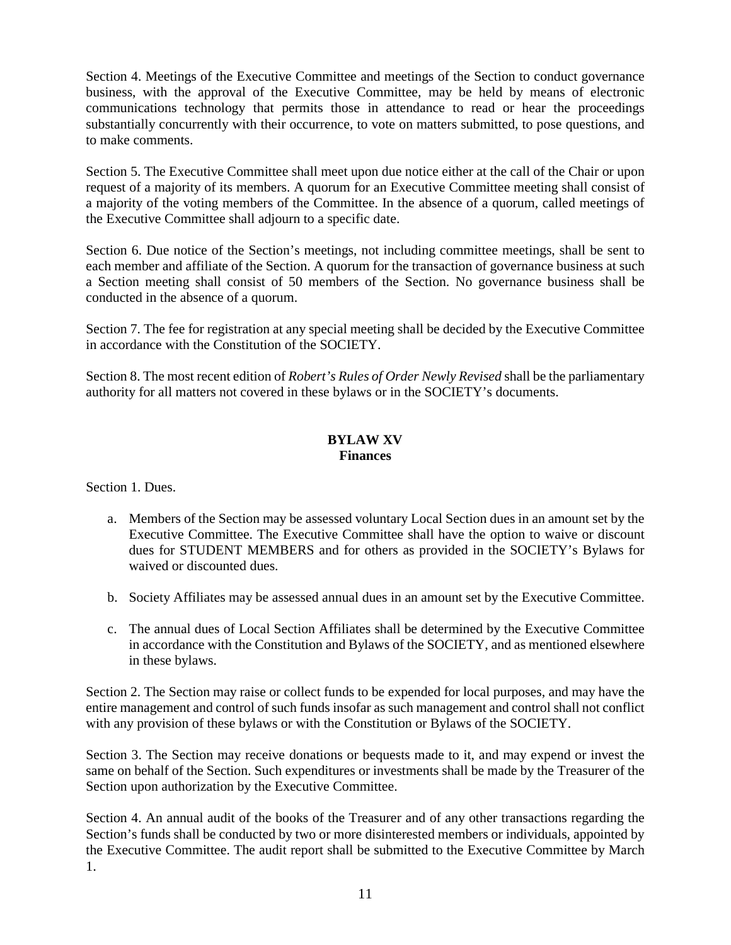Section 4. Meetings of the Executive Committee and meetings of the Section to conduct governance business, with the approval of the Executive Committee, may be held by means of electronic communications technology that permits those in attendance to read or hear the proceedings substantially concurrently with their occurrence, to vote on matters submitted, to pose questions, and to make comments.

Section 5. The Executive Committee shall meet upon due notice either at the call of the Chair or upon request of a majority of its members. A quorum for an Executive Committee meeting shall consist of a majority of the voting members of the Committee. In the absence of a quorum, called meetings of the Executive Committee shall adjourn to a specific date.

Section 6. Due notice of the Section's meetings, not including committee meetings, shall be sent to each member and affiliate of the Section. A quorum for the transaction of governance business at such a Section meeting shall consist of 50 members of the Section. No governance business shall be conducted in the absence of a quorum.

Section 7. The fee for registration at any special meeting shall be decided by the Executive Committee in accordance with the Constitution of the SOCIETY.

Section 8. The most recent edition of *Robert's Rules of Order Newly Revised* shall be the parliamentary authority for all matters not covered in these bylaws or in the SOCIETY's documents.

## **BYLAW XV Finances**

Section 1. Dues.

- a. Members of the Section may be assessed voluntary Local Section dues in an amount set by the Executive Committee. The Executive Committee shall have the option to waive or discount dues for STUDENT MEMBERS and for others as provided in the SOCIETY's Bylaws for waived or discounted dues.
- b. Society Affiliates may be assessed annual dues in an amount set by the Executive Committee.
- c. The annual dues of Local Section Affiliates shall be determined by the Executive Committee in accordance with the Constitution and Bylaws of the SOCIETY, and as mentioned elsewhere in these bylaws.

Section 2. The Section may raise or collect funds to be expended for local purposes, and may have the entire management and control of such funds insofar as such management and control shall not conflict with any provision of these bylaws or with the Constitution or Bylaws of the SOCIETY.

Section 3. The Section may receive donations or bequests made to it, and may expend or invest the same on behalf of the Section. Such expenditures or investments shall be made by the Treasurer of the Section upon authorization by the Executive Committee.

Section 4. An annual audit of the books of the Treasurer and of any other transactions regarding the Section's funds shall be conducted by two or more disinterested members or individuals, appointed by the Executive Committee. The audit report shall be submitted to the Executive Committee by March 1.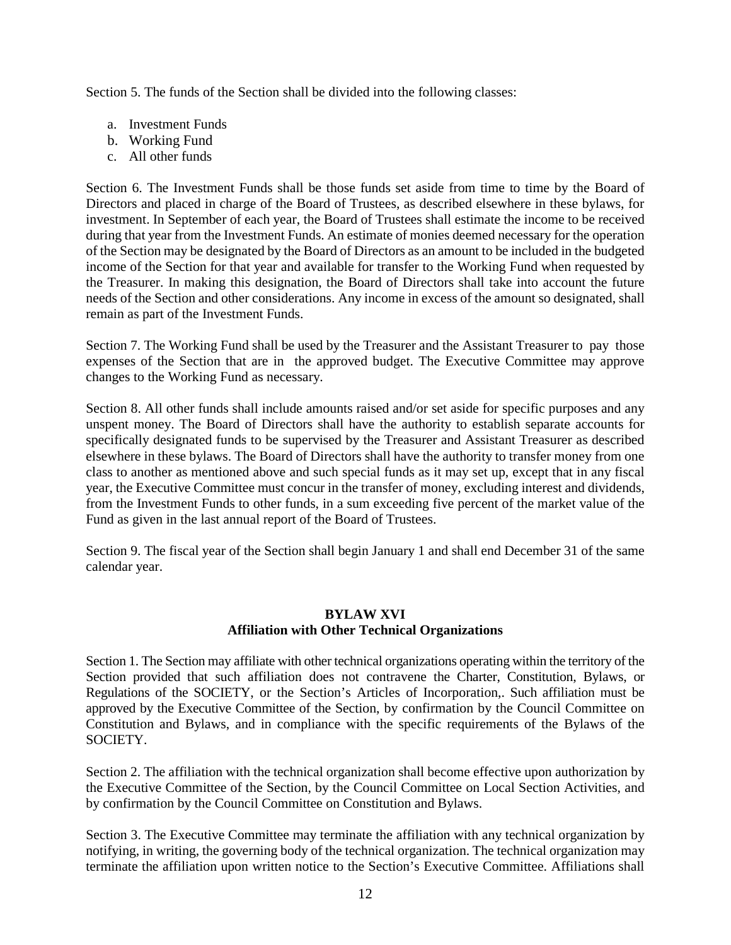Section 5. The funds of the Section shall be divided into the following classes:

- a. Investment Funds
- b. Working Fund
- c. All other funds

Section 6. The Investment Funds shall be those funds set aside from time to time by the Board of Directors and placed in charge of the Board of Trustees, as described elsewhere in these bylaws, for investment. In September of each year, the Board of Trustees shall estimate the income to be received during that year from the Investment Funds. An estimate of monies deemed necessary for the operation of the Section may be designated by the Board of Directors as an amount to be included in the budgeted income of the Section for that year and available for transfer to the Working Fund when requested by the Treasurer. In making this designation, the Board of Directors shall take into account the future needs of the Section and other considerations. Any income in excess of the amount so designated, shall remain as part of the Investment Funds.

Section 7. The Working Fund shall be used by the Treasurer and the Assistant Treasurer to pay those expenses of the Section that are in the approved budget. The Executive Committee may approve changes to the Working Fund as necessary.

Section 8. All other funds shall include amounts raised and/or set aside for specific purposes and any unspent money. The Board of Directors shall have the authority to establish separate accounts for specifically designated funds to be supervised by the Treasurer and Assistant Treasurer as described elsewhere in these bylaws. The Board of Directors shall have the authority to transfer money from one class to another as mentioned above and such special funds as it may set up, except that in any fiscal year, the Executive Committee must concur in the transfer of money, excluding interest and dividends, from the Investment Funds to other funds, in a sum exceeding five percent of the market value of the Fund as given in the last annual report of the Board of Trustees.

Section 9. The fiscal year of the Section shall begin January 1 and shall end December 31 of the same calendar year.

## **BYLAW XVI Affiliation with Other Technical Organizations**

Section 1. The Section may affiliate with other technical organizations operating within the territory of the Section provided that such affiliation does not contravene the Charter, Constitution, Bylaws, or Regulations of the SOCIETY, or the Section's Articles of Incorporation,. Such affiliation must be approved by the Executive Committee of the Section, by confirmation by the Council Committee on Constitution and Bylaws, and in compliance with the specific requirements of the Bylaws of the SOCIETY.

Section 2. The affiliation with the technical organization shall become effective upon authorization by the Executive Committee of the Section, by the Council Committee on Local Section Activities, and by confirmation by the Council Committee on Constitution and Bylaws.

Section 3. The Executive Committee may terminate the affiliation with any technical organization by notifying, in writing, the governing body of the technical organization. The technical organization may terminate the affiliation upon written notice to the Section's Executive Committee. Affiliations shall